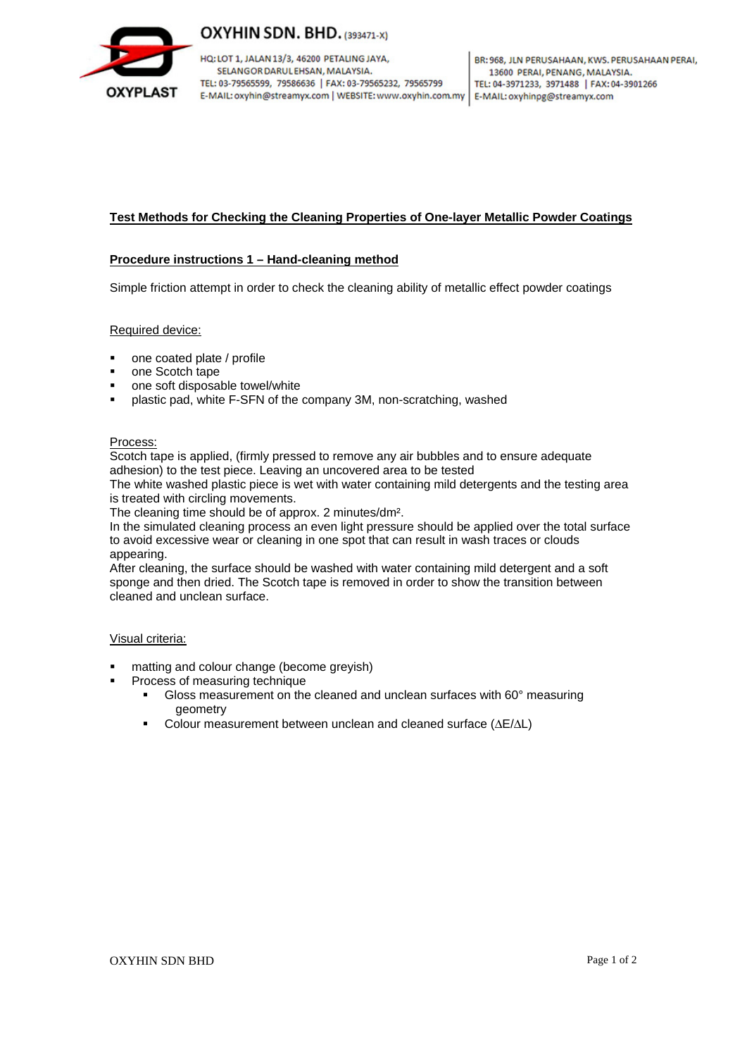

# OXYHIN SDN. BHD. (393471-X)

HQ: LOT 1, JALAN 13/3, 46200 PETALING JAYA, SELANGOR DARUL EHSAN, MALAYSIA. TEL: 03-79565599, 79586636 | FAX: 03-79565232, 79565799 E-MAIL: oxyhin@streamyx.com | WEBSITE: www.oxyhin.com.my | E-MAIL: oxyhinpg@streamyx.com

## **Test Methods for Checking the Cleaning Properties of One-layer Metallic Powder Coatings**

### **Procedure instructions 1 – Hand-cleaning method**

Simple friction attempt in order to check the cleaning ability of metallic effect powder coatings

### Required device:

- one coated plate / profile
- one Scotch tape
- one soft disposable towel/white
- plastic pad, white F-SFN of the company 3M, non-scratching, washed

#### Process:

Scotch tape is applied, (firmly pressed to remove any air bubbles and to ensure adequate adhesion) to the test piece. Leaving an uncovered area to be tested

The white washed plastic piece is wet with water containing mild detergents and the testing area is treated with circling movements.

The cleaning time should be of approx. 2 minutes/dm².

In the simulated cleaning process an even light pressure should be applied over the total surface to avoid excessive wear or cleaning in one spot that can result in wash traces or clouds appearing.

After cleaning, the surface should be washed with water containing mild detergent and a soft sponge and then dried. The Scotch tape is removed in order to show the transition between cleaned and unclean surface.

### Visual criteria:

- matting and colour change (become greyish)
- Process of measuring technique
	- Gloss measurement on the cleaned and unclean surfaces with 60° measuring geometry
	- Colour measurement between unclean and cleaned surface (ΔE/ΔL)